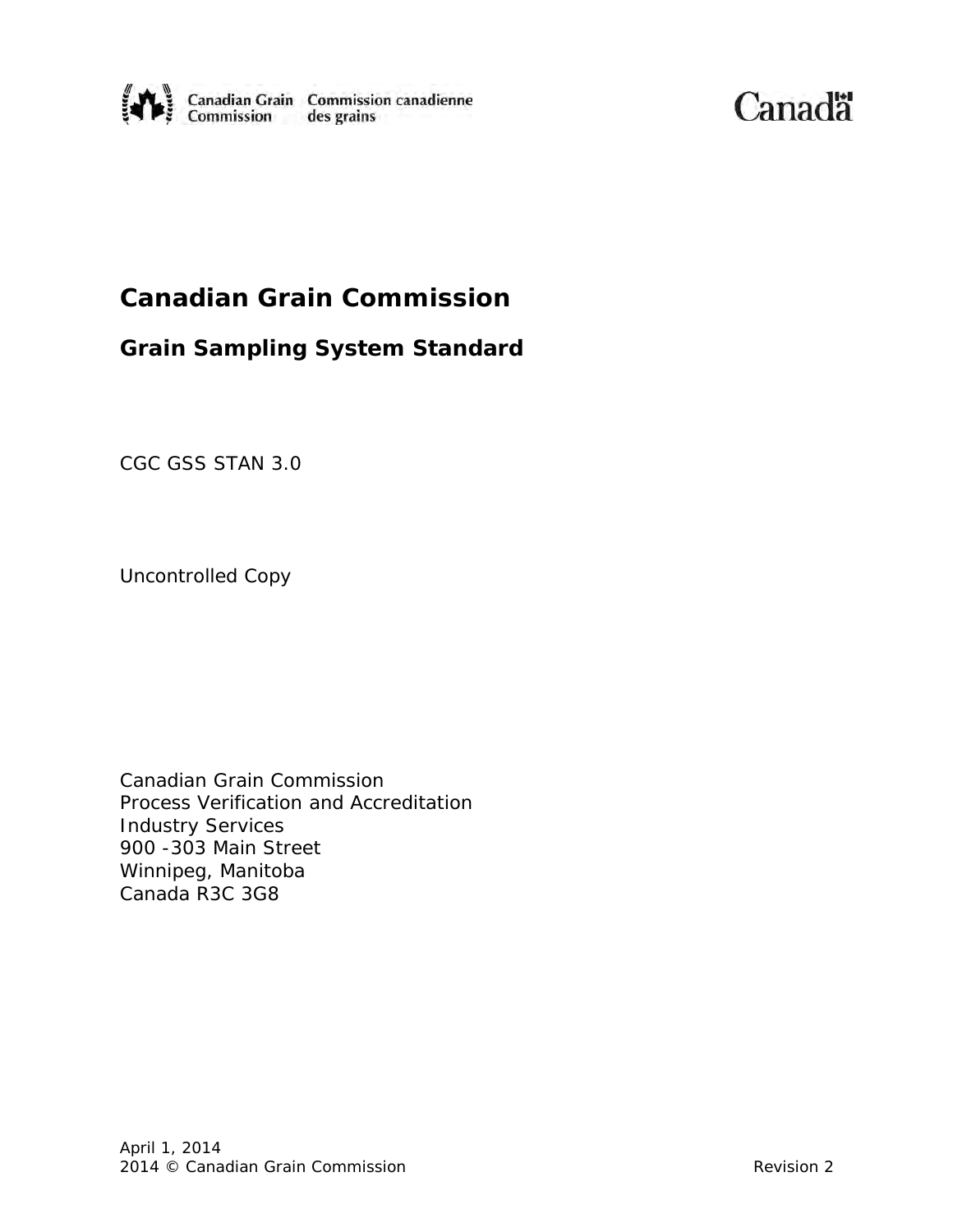

Canadä

# **Canadian Grain Commission**

# **Grain Sampling System Standard**

CGC GSS STAN 3.0

Uncontrolled Copy

Canadian Grain Commission Process Verification and Accreditation Industry Services 900 -303 Main Street Winnipeg, Manitoba Canada R3C 3G8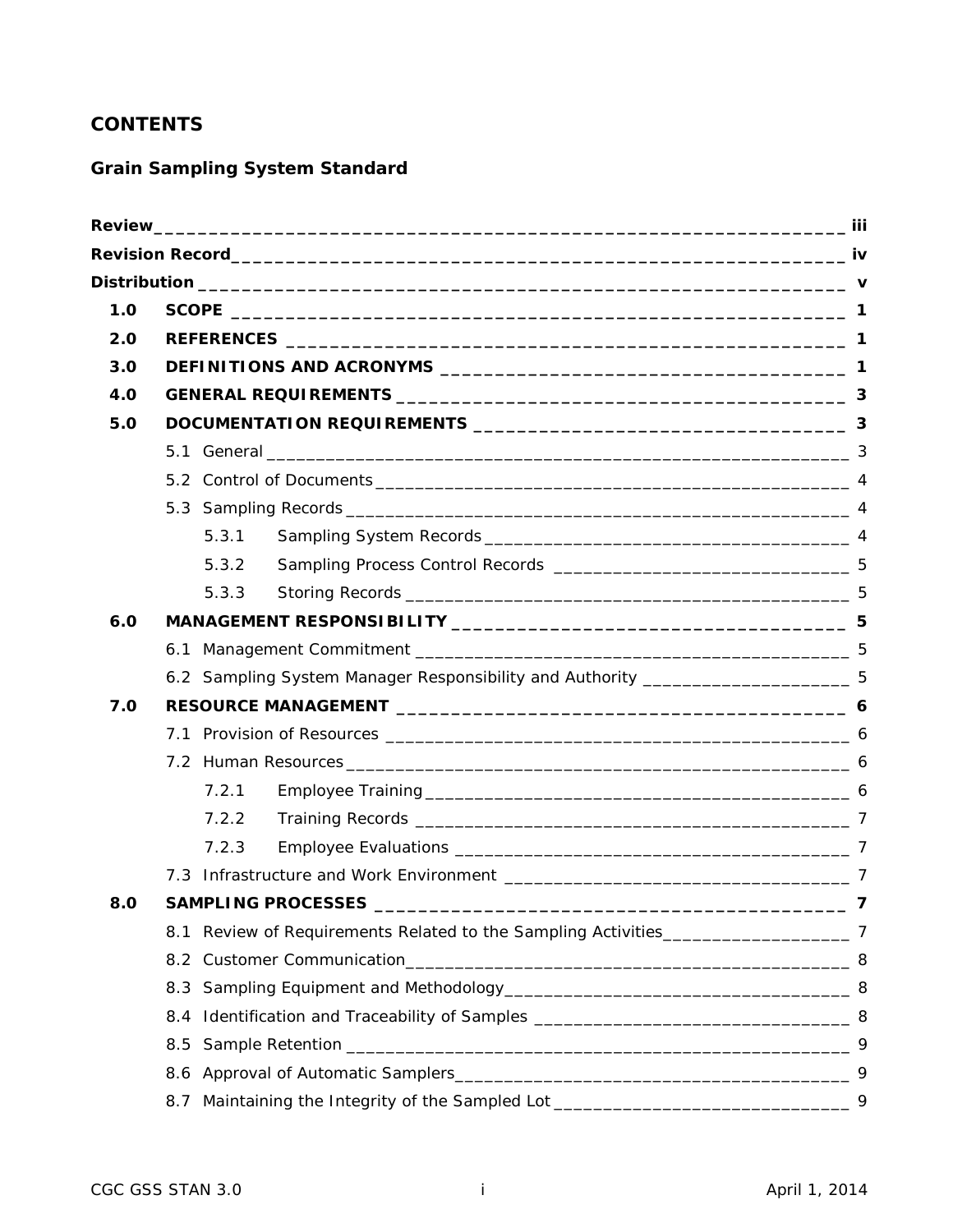# **CONTENTS**

# **Grain Sampling System Standard**

| 1.0 |                                                                                  |    |  |
|-----|----------------------------------------------------------------------------------|----|--|
| 2.0 |                                                                                  |    |  |
| 3.0 |                                                                                  |    |  |
| 4.0 |                                                                                  |    |  |
| 5.0 |                                                                                  |    |  |
|     |                                                                                  |    |  |
|     |                                                                                  |    |  |
|     |                                                                                  |    |  |
|     | 5.3.1                                                                            |    |  |
|     | 5.3.2                                                                            |    |  |
|     | 5.3.3                                                                            |    |  |
| 6.0 |                                                                                  |    |  |
|     |                                                                                  |    |  |
|     | 6.2 Sampling System Manager Responsibility and Authority ______________________5 |    |  |
| 7.0 |                                                                                  |    |  |
|     |                                                                                  |    |  |
|     |                                                                                  |    |  |
|     | 7.2.1                                                                            |    |  |
|     | 7.2.2                                                                            |    |  |
|     | 7.2.3                                                                            |    |  |
|     |                                                                                  |    |  |
| 8.0 | <b>SAMPLING PROCESSES</b>                                                        |    |  |
|     | 8.1                                                                              |    |  |
|     |                                                                                  |    |  |
|     | 8.3                                                                              |    |  |
|     | 8.4                                                                              |    |  |
|     | 8.5                                                                              | -9 |  |
|     | 8.6                                                                              |    |  |
|     | 8.7                                                                              |    |  |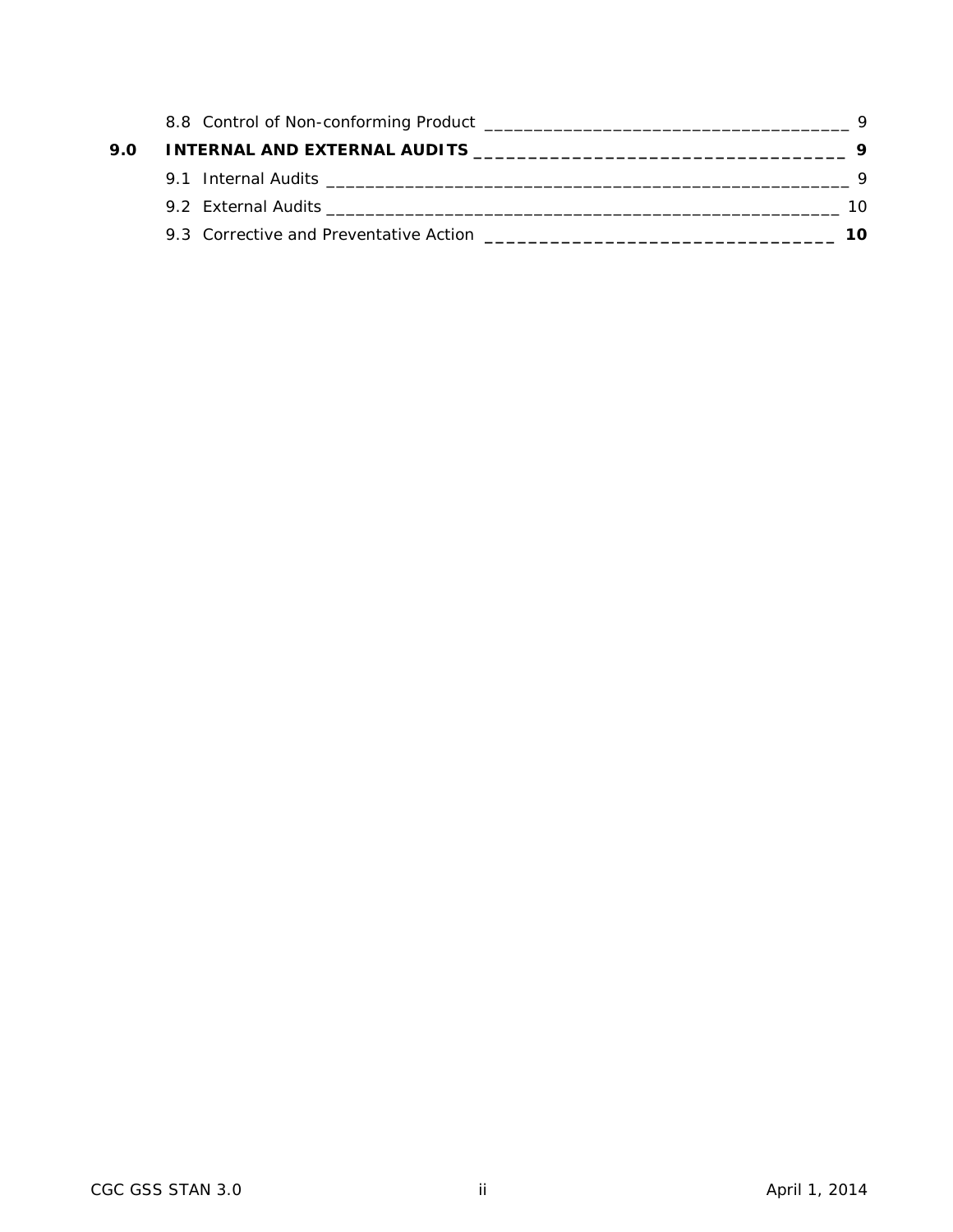| 9.0 |                                                                                                                                                                                                                                |     |
|-----|--------------------------------------------------------------------------------------------------------------------------------------------------------------------------------------------------------------------------------|-----|
|     | 9.1 Internal Audits Lease and Audits and Audit Contract and Audit Contract and Audit Contract and Audit Contract and Audit Contract and Audit Contract and Audit Contract and Audit Contract and Audit Contract and Audit Cont |     |
|     |                                                                                                                                                                                                                                | 10. |
|     | 9.3 Corrective and Preventative Action<br><u> 1980 - Jan Barnett, married ble stjerk og det ble stjerke og det ble stjerke og det ble stjerke og det ble s</u>                                                                 | 1ດ  |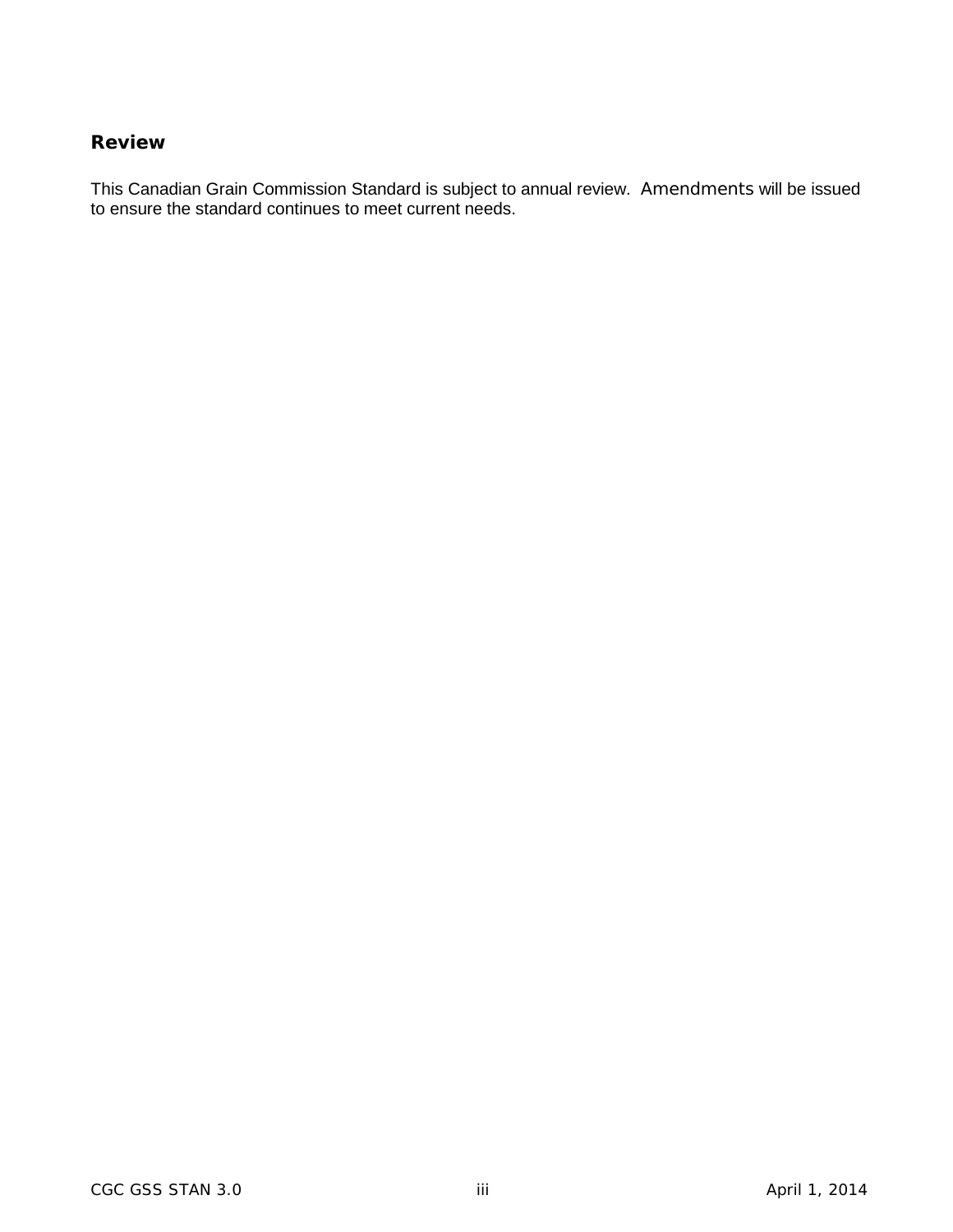## <span id="page-3-0"></span>**Review**

This Canadian Grain Commission Standard is subject to annual review. Amendments will be issued to ensure the standard continues to meet current needs.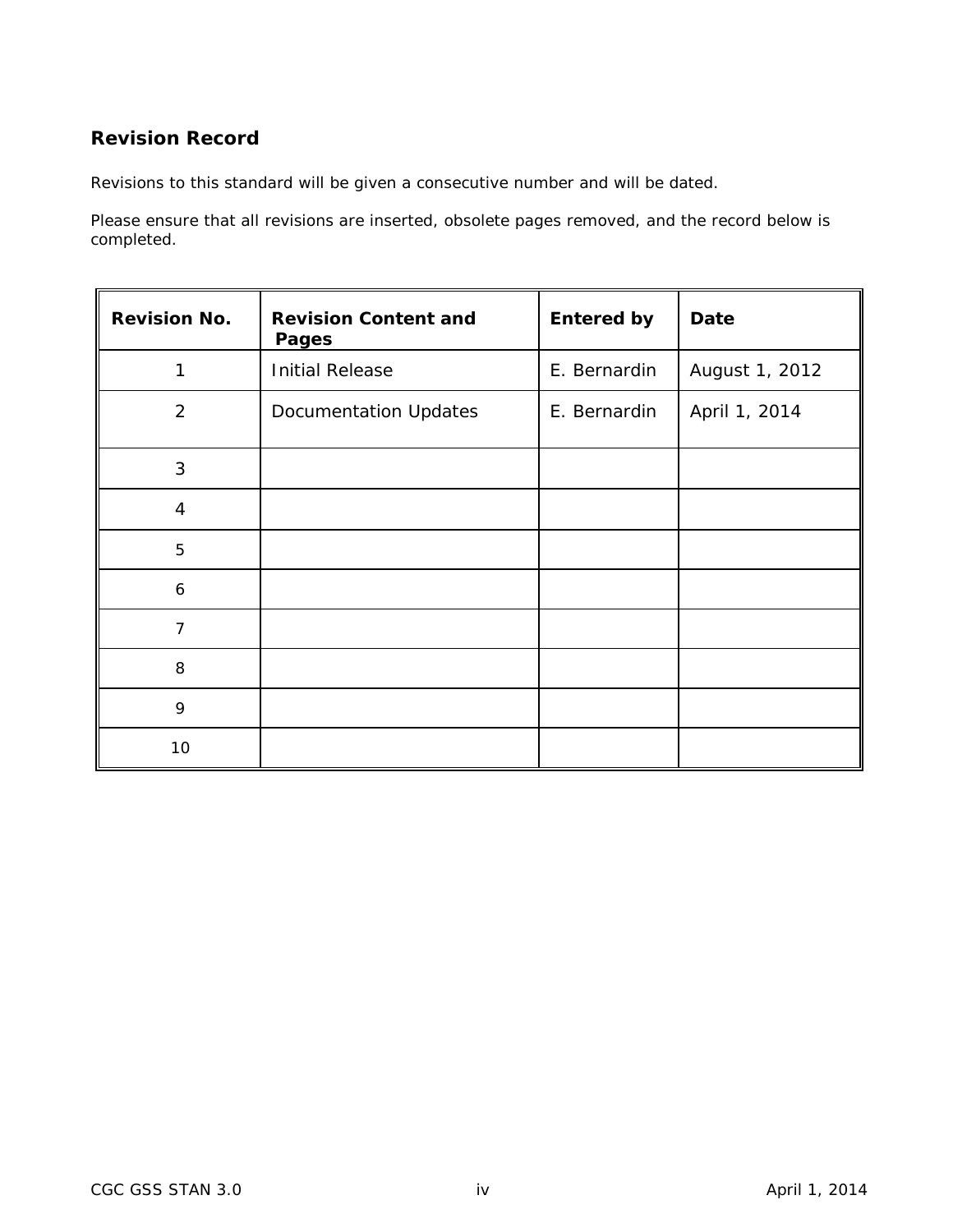# <span id="page-4-0"></span>**Revision Record**

Revisions to this standard will be given a consecutive number and will be dated.

Please ensure that all revisions are inserted, obsolete pages removed, and the record below is completed.

| <b>Revision No.</b> | <b>Revision Content and</b><br><b>Pages</b> | <b>Entered by</b> | <b>Date</b>    |
|---------------------|---------------------------------------------|-------------------|----------------|
| 1                   | <b>Initial Release</b>                      | E. Bernardin      | August 1, 2012 |
| $\overline{2}$      | <b>Documentation Updates</b>                | E. Bernardin      | April 1, 2014  |
| 3                   |                                             |                   |                |
| $\overline{4}$      |                                             |                   |                |
| 5                   |                                             |                   |                |
| 6                   |                                             |                   |                |
| $\overline{7}$      |                                             |                   |                |
| 8                   |                                             |                   |                |
| 9                   |                                             |                   |                |
| 10                  |                                             |                   |                |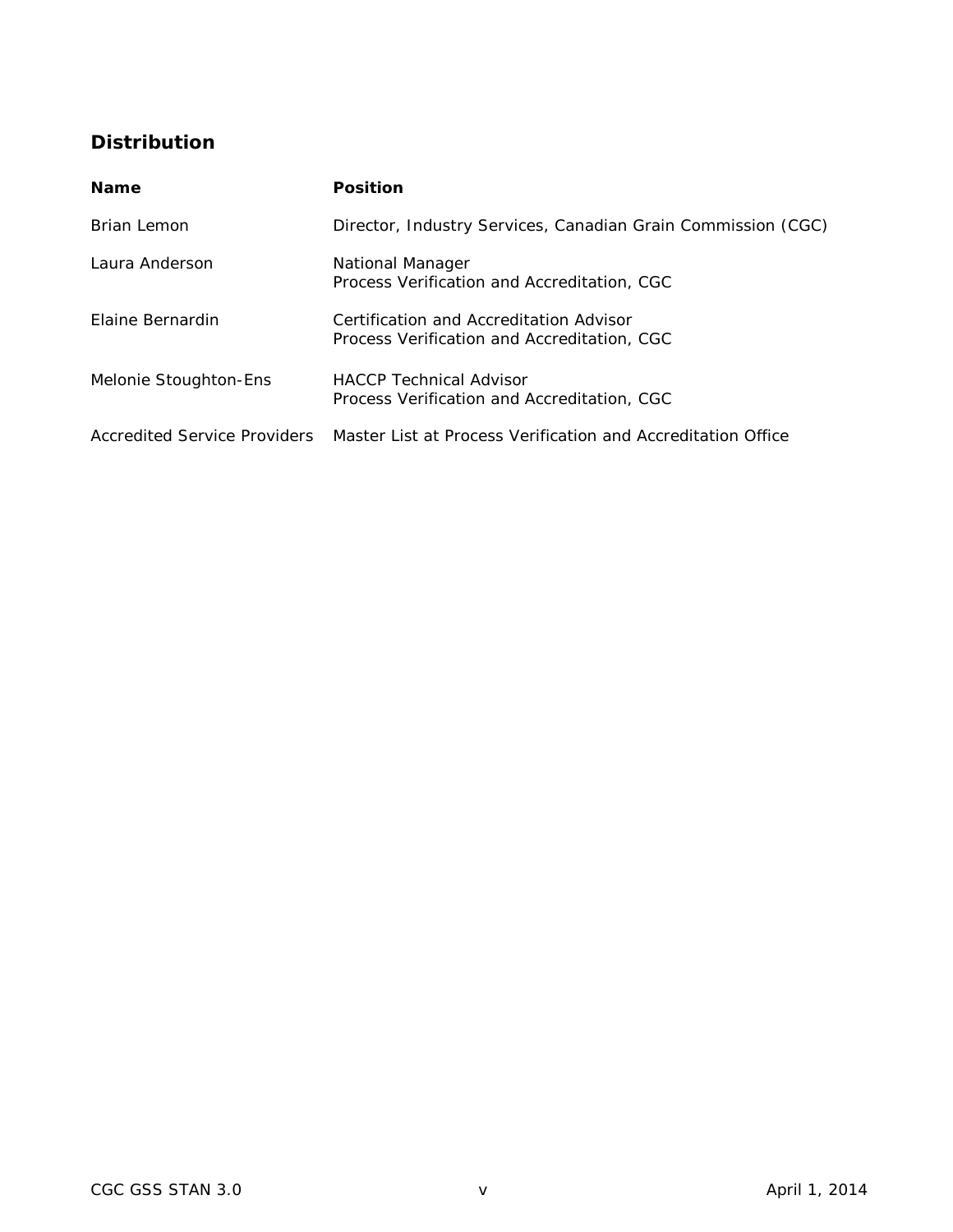# <span id="page-5-0"></span>**Distribution**

| <b>Name</b>                  | <b>Position</b>                                                                        |
|------------------------------|----------------------------------------------------------------------------------------|
| Brian Lemon                  | Director, Industry Services, Canadian Grain Commission (CGC)                           |
| Laura Anderson               | National Manager<br>Process Verification and Accreditation, CGC                        |
| Elaine Bernardin             | Certification and Accreditation Advisor<br>Process Verification and Accreditation, CGC |
| Melonie Stoughton-Ens        | <b>HACCP</b> Technical Advisor<br>Process Verification and Accreditation, CGC          |
| Accredited Service Providers | Master List at Process Verification and Accreditation Office                           |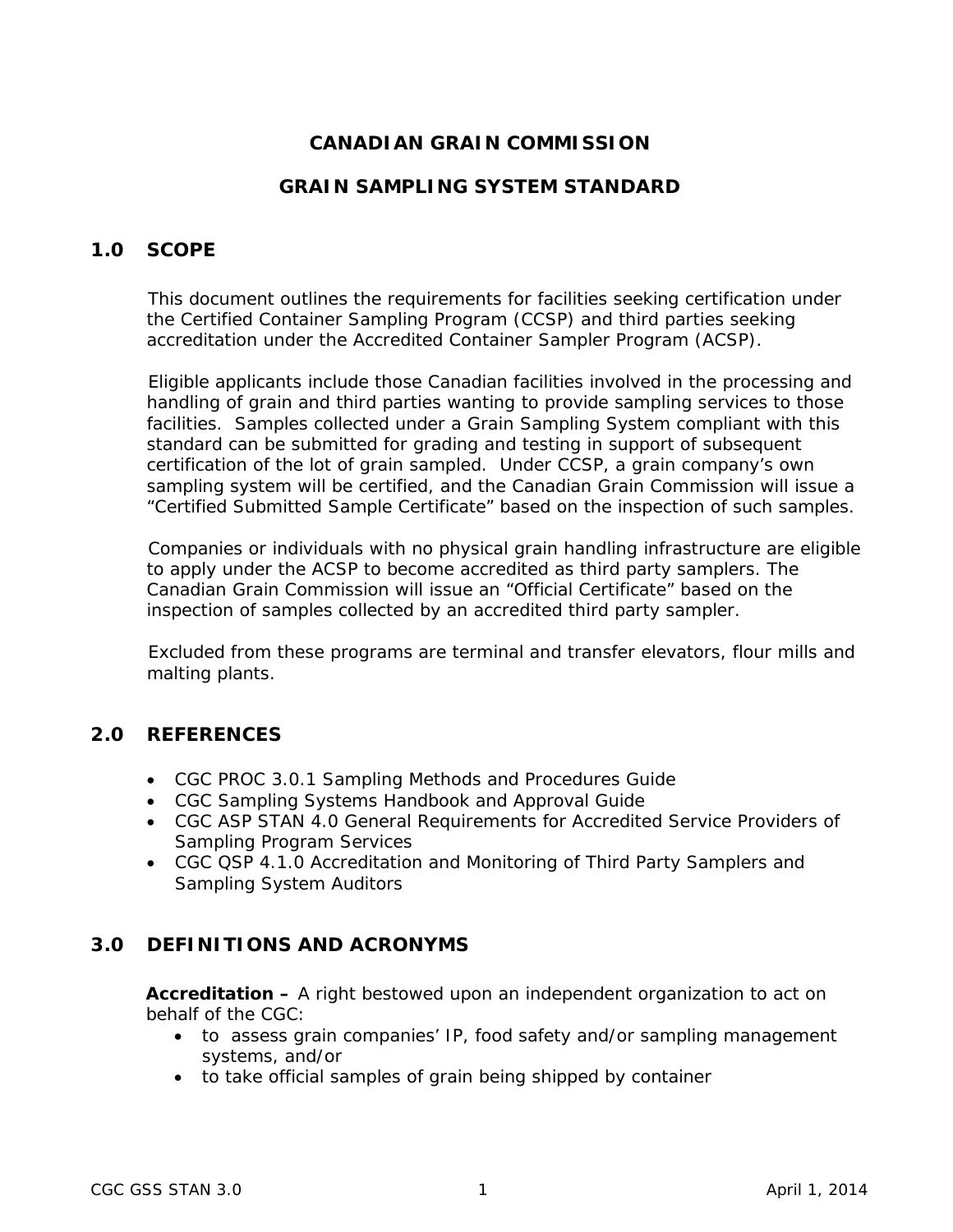# **CANADIAN GRAIN COMMISSION**

# **GRAIN SAMPLING SYSTEM STANDARD**

# <span id="page-6-0"></span>**1.0 SCOPE**

This document outlines the requirements for facilities seeking certification under the Certified Container Sampling Program (CCSP) and third parties seeking accreditation under the Accredited Container Sampler Program (ACSP).

Eligible applicants include those Canadian facilities involved in the processing and handling of grain and third parties wanting to provide sampling services to those facilities. Samples collected under a Grain Sampling System compliant with this standard can be submitted for grading and testing in support of subsequent certification of the lot of grain sampled. Under CCSP, a grain company's own sampling system will be certified, and the Canadian Grain Commission will issue a "Certified Submitted Sample Certificate" based on the inspection of such samples.

Companies or individuals with no physical grain handling infrastructure are eligible to apply under the ACSP to become accredited as third party samplers. The Canadian Grain Commission will issue an "Official Certificate" based on the inspection of samples collected by an accredited third party sampler.

Excluded from these programs are terminal and transfer elevators, flour mills and malting plants.

# <span id="page-6-1"></span>**2.0 REFERENCES**

- CGC PROC 3.0.1 *Sampling Methods and Procedures Guide*
- CGC *Sampling Systems Handbook and Approval Guide*
- CGC ASP STAN 4.0 *General Requirements for Accredited Service Providers of Sampling Program Services*
- CGC QSP 4.1.0 *Accreditation and Monitoring of Third Party Samplers and Sampling System Auditors*

# <span id="page-6-2"></span>**3.0 DEFINITIONS AND ACRONYMS**

**Accreditation –** A right bestowed upon an independent organization to act on behalf of the CGC:

- to assess grain companies' IP, food safety and/or sampling management systems, and/or
- to take official samples of grain being shipped by container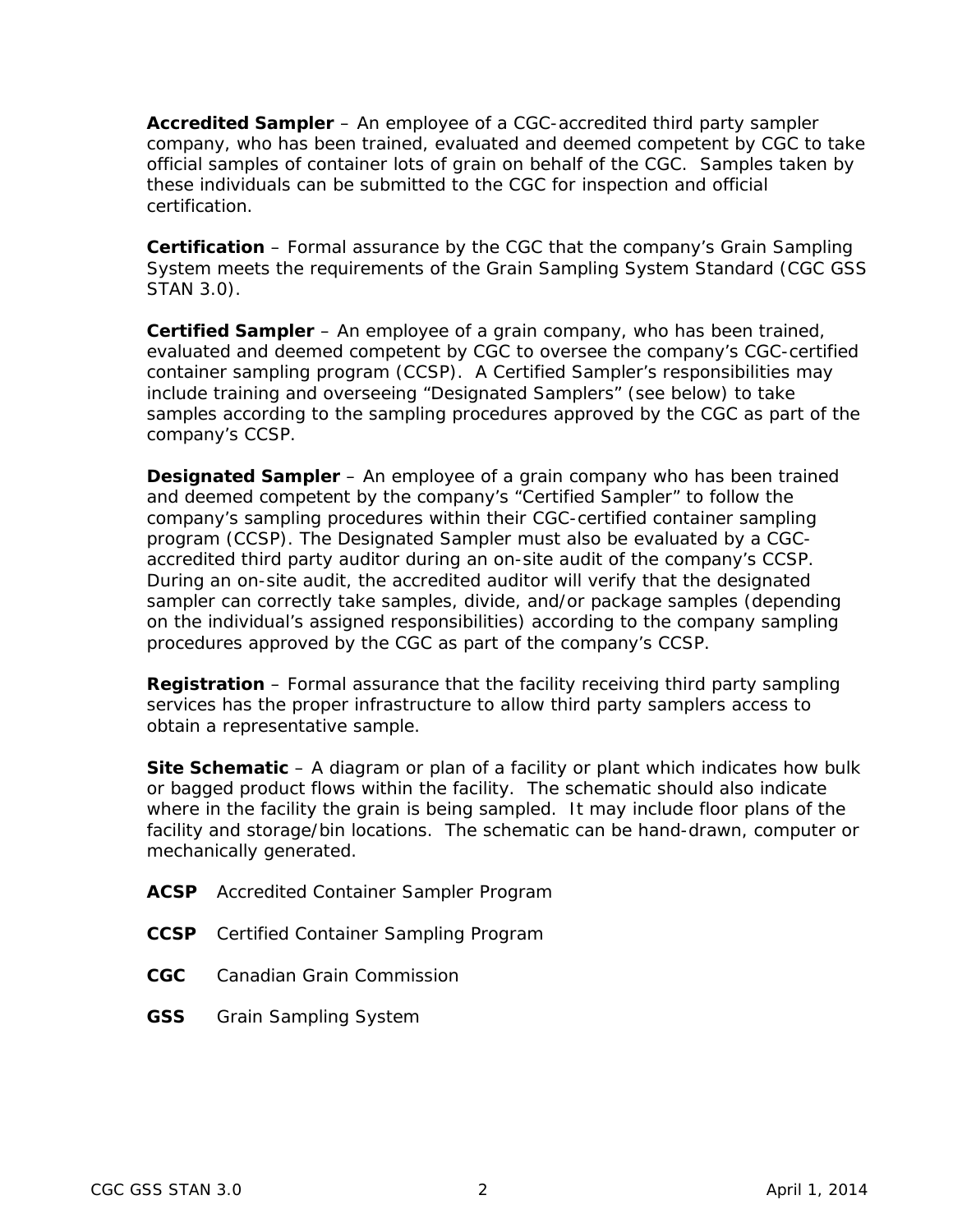**Accredited Sampler** – An employee of a CGC-accredited third party sampler company, who has been trained, evaluated and deemed competent by CGC to take official samples of container lots of grain on behalf of the CGC. Samples taken by these individuals can be submitted to the CGC for inspection and official certification.

**Certification** – Formal assurance by the CGC that the company's Grain Sampling System meets the requirements of the Grain Sampling System Standard (CGC GSS STAN 3.0).

**Certified Sampler** – An employee of a grain company, who has been trained, evaluated and deemed competent by CGC to oversee the company's CGC-certified container sampling program (CCSP). A Certified Sampler's responsibilities may include training and overseeing "Designated Samplers" (see below) to take samples according to the sampling procedures approved by the CGC as part of the company's CCSP.

**Designated Sampler** – An employee of a grain company who has been trained and deemed competent by the company's "Certified Sampler" to follow the company's sampling procedures within their CGC-certified container sampling program (CCSP). The Designated Sampler must also be evaluated by a CGCaccredited third party auditor during an on-site audit of the company's CCSP. During an on-site audit, the accredited auditor will verify that the designated sampler can correctly take samples, divide, and/or package samples (depending on the individual's assigned responsibilities) according to the company sampling procedures approved by the CGC as part of the company's CCSP.

**Registration** – Formal assurance that the facility receiving third party sampling services has the proper infrastructure to allow third party samplers access to obtain a representative sample.

**Site Schematic** – A diagram or plan of a facility or plant which indicates how bulk or bagged product flows within the facility. The schematic should also indicate where in the facility the grain is being sampled. It may include floor plans of the facility and storage/bin locations. The schematic can be hand-drawn, computer or mechanically generated.

- **ACSP** Accredited Container Sampler Program
- **CCSP** Certified Container Sampling Program
- **CGC** Canadian Grain Commission
- **GSS** Grain Sampling System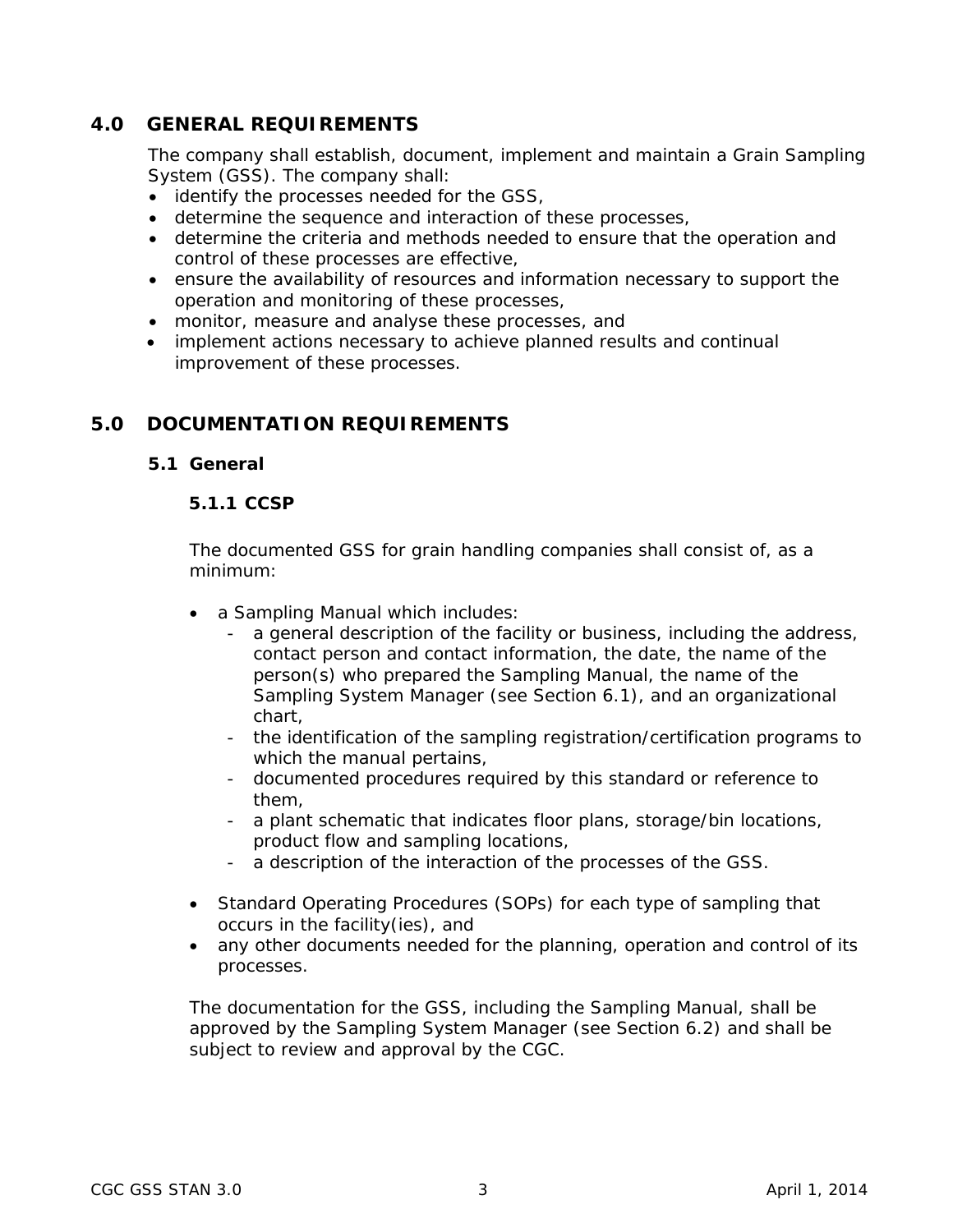# <span id="page-8-0"></span>**4.0 GENERAL REQUIREMENTS**

The company shall establish, document, implement and maintain a Grain Sampling System (GSS). The company shall:

- identify the processes needed for the GSS,
- determine the sequence and interaction of these processes,
- determine the criteria and methods needed to ensure that the operation and control of these processes are effective,
- ensure the availability of resources and information necessary to support the operation and monitoring of these processes,
- monitor, measure and analyse these processes, and
- implement actions necessary to achieve planned results and continual improvement of these processes.

# <span id="page-8-2"></span><span id="page-8-1"></span>**5.0 DOCUMENTATION REQUIREMENTS**

# **5.1 General**

## **5.1.1 CCSP**

The documented GSS for grain handling companies shall consist of, as a minimum:

- a Sampling Manual which includes:
	- a general description of the facility or business, including the address, contact person and contact information, the date, the name of the person(s) who prepared the Sampling Manual, the name of the Sampling System Manager (see Section 6.1), and an organizational chart,
	- the identification of the sampling registration/certification programs to which the manual pertains,
	- documented procedures required by this standard or reference to them,
	- a plant schematic that indicates floor plans, storage/bin locations, product flow and sampling locations,
	- a description of the interaction of the processes of the GSS.
- Standard Operating Procedures (SOPs) for each type of sampling that occurs in the facility(ies), and
- any other documents needed for the planning, operation and control of its processes.

The documentation for the GSS, including the Sampling Manual, shall be approved by the Sampling System Manager (see Section 6.2) and shall be subject to review and approval by the CGC.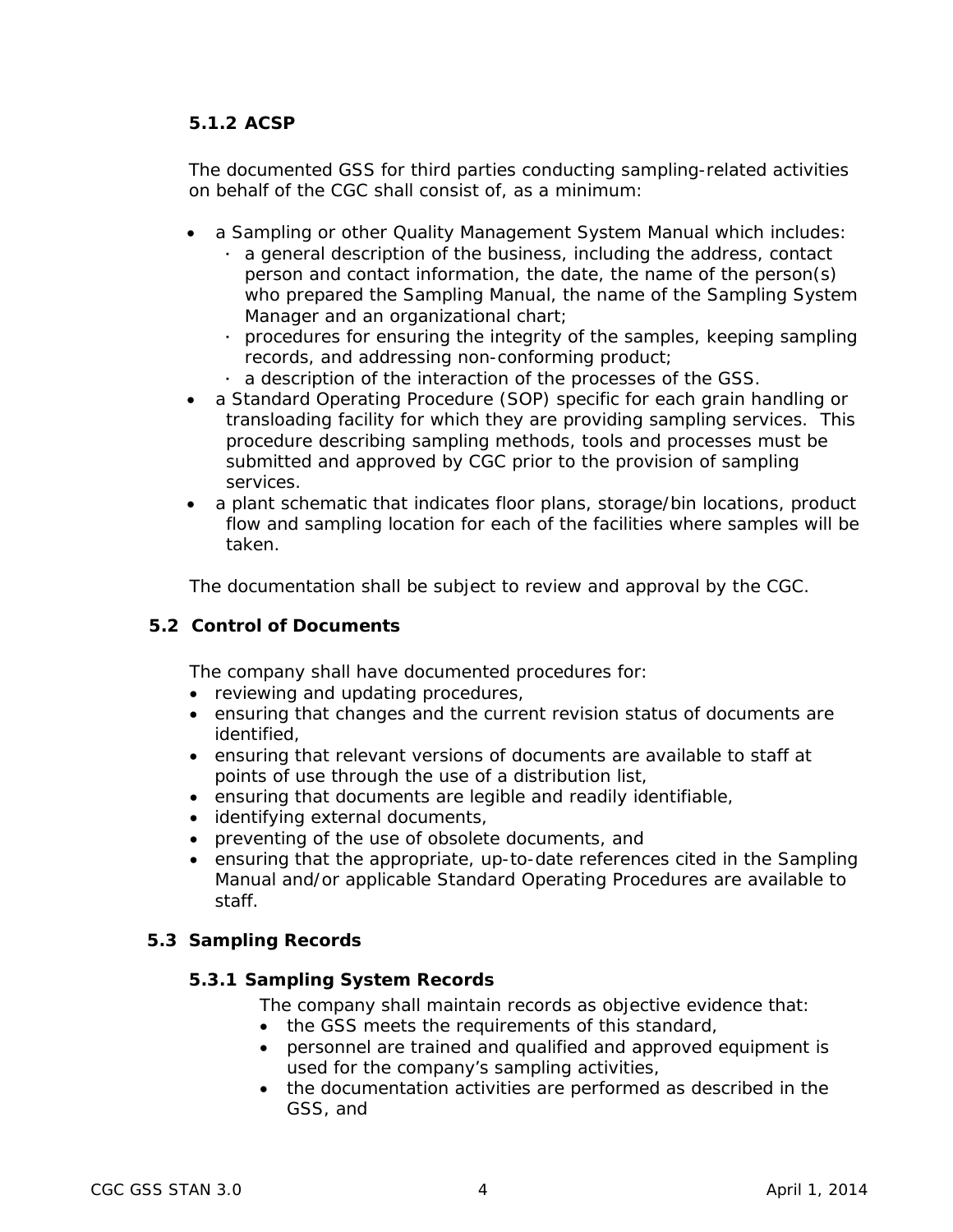# **5.1.2 ACSP**

The documented GSS for third parties conducting sampling-related activities on behalf of the CGC shall consist of, as a minimum:

- a Sampling or other Quality Management System Manual which includes:
	- a general description of the business, including the address, contact person and contact information, the date, the name of the person(s) who prepared the Sampling Manual, the name of the Sampling System Manager and an organizational chart;
	- procedures for ensuring the integrity of the samples, keeping sampling records, and addressing non-conforming product;
	- a description of the interaction of the processes of the GSS.
- a Standard Operating Procedure (SOP) specific for each grain handling or transloading facility for which they are providing sampling services. This procedure describing sampling methods, tools and processes must be submitted and approved by CGC prior to the provision of sampling services.
- a plant schematic that indicates floor plans, storage/bin locations, product flow and sampling location for each of the facilities where samples will be taken.

The documentation shall be subject to review and approval by the CGC.

#### <span id="page-9-0"></span>**5.2 Control of Documents**

The company shall have documented procedures for:

- reviewing and updating procedures,
- ensuring that changes and the current revision status of documents are identified,
- ensuring that relevant versions of documents are available to staff at points of use through the use of a distribution list,
- ensuring that documents are legible and readily identifiable,
- identifying external documents,
- preventing of the use of obsolete documents, and
- ensuring that the appropriate, up-to-date references cited in the Sampling Manual and/or applicable Standard Operating Procedures are available to staff.

# <span id="page-9-2"></span><span id="page-9-1"></span>**5.3 Sampling Records**

# **5.3.1 Sampling System Records**

The company shall maintain records as objective evidence that:

- the GSS meets the requirements of this standard,
- personnel are trained and qualified and approved equipment is used for the company's sampling activities,
- the documentation activities are performed as described in the GSS, and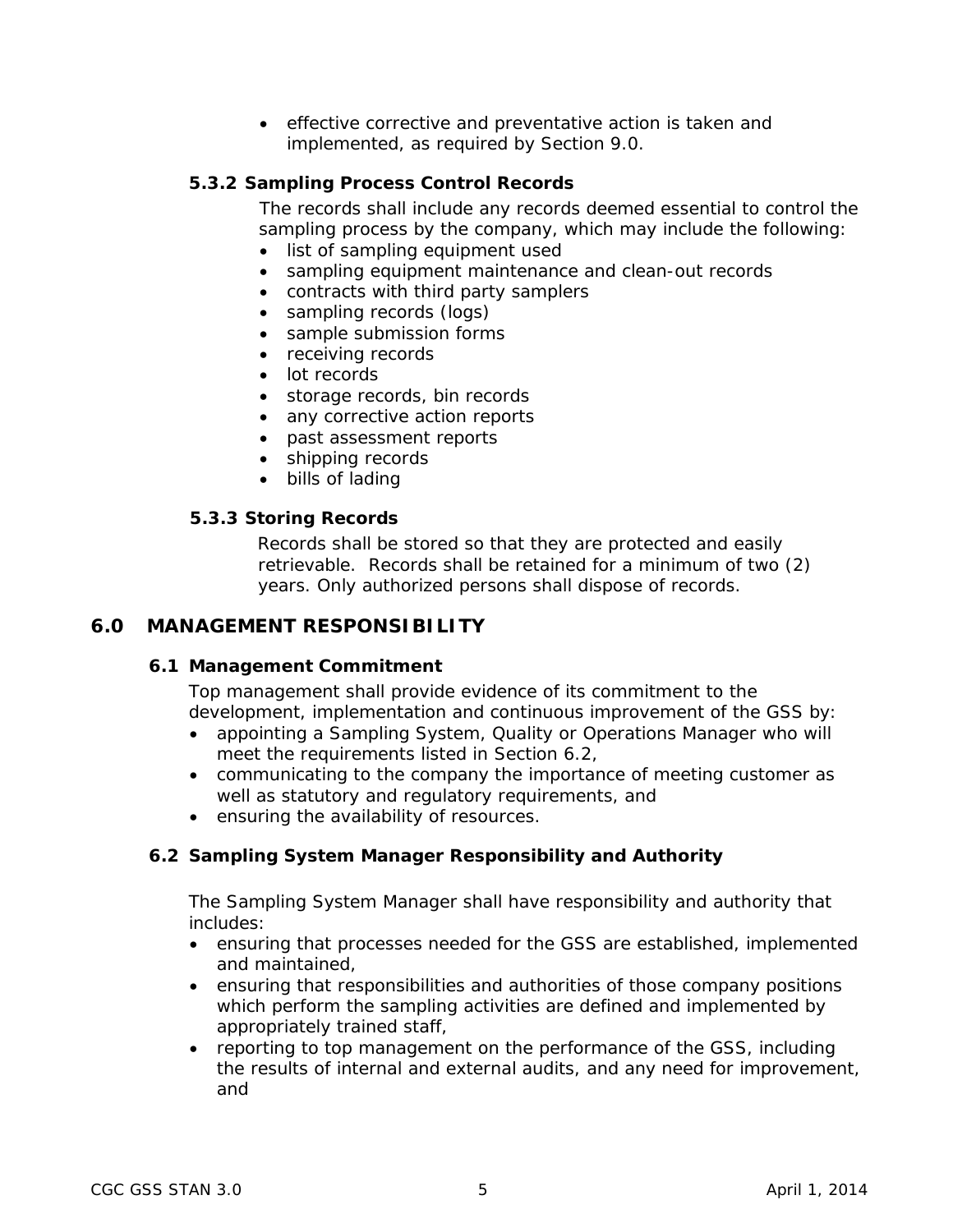• effective corrective and preventative action is taken and implemented, as required by Section 9.0.

# <span id="page-10-0"></span>**5.3.2 Sampling Process Control Records**

The records shall include any records deemed essential to control the sampling process by the company, which may include the following:

- list of sampling equipment used
- sampling equipment maintenance and clean-out records
- contracts with third party samplers
- sampling records (logs)
- sample submission forms
- receiving records
- lot records
- storage records, bin records
- any corrective action reports
- past assessment reports
- shipping records
- bills of lading

## <span id="page-10-1"></span>**5.3.3 Storing Records**

Records shall be stored so that they are protected and easily retrievable. Records shall be retained for a minimum of two (2) years. Only authorized persons shall dispose of records.

# <span id="page-10-3"></span><span id="page-10-2"></span>**6.0 MANAGEMENT RESPONSIBILITY**

#### **6.1 Management Commitment**

Top management shall provide evidence of its commitment to the development, implementation and continuous improvement of the GSS by:

- appointing a Sampling System, Quality or Operations Manager who will meet the requirements listed in Section 6.2,
- communicating to the company the importance of meeting customer as well as statutory and regulatory requirements, and
- ensuring the availability of resources.

# <span id="page-10-4"></span>**6.2 Sampling System Manager Responsibility and Authority**

The Sampling System Manager shall have responsibility and authority that includes:

- ensuring that processes needed for the GSS are established, implemented and maintained,
- ensuring that responsibilities and authorities of those company positions which perform the sampling activities are defined and implemented by appropriately trained staff,
- reporting to top management on the performance of the GSS, including the results of internal and external audits, and any need for improvement, and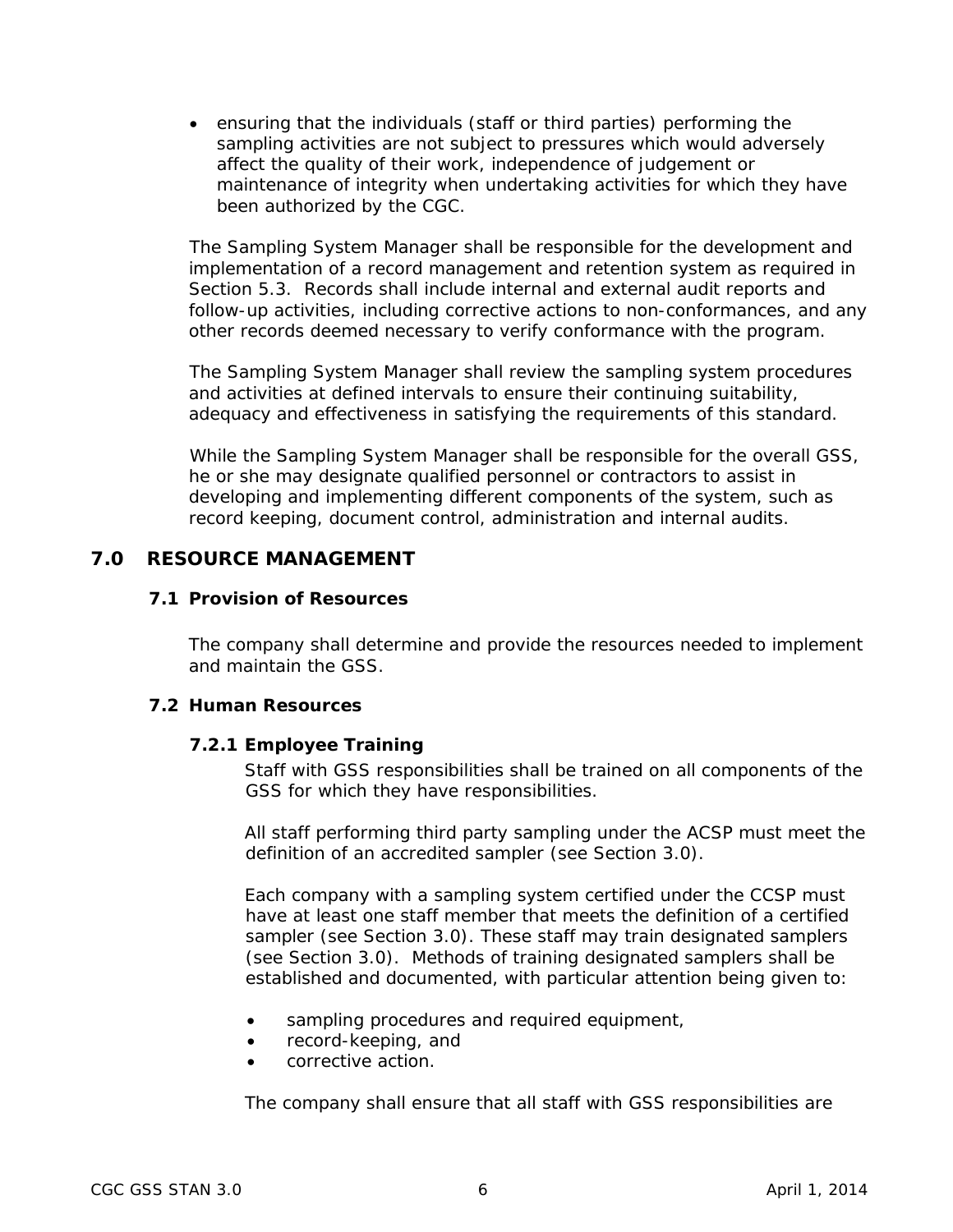• ensuring that the individuals (staff or third parties) performing the sampling activities are not subject to pressures which would adversely affect the quality of their work, independence of judgement or maintenance of integrity when undertaking activities for which they have been authorized by the CGC.

The Sampling System Manager shall be responsible for the development and implementation of a record management and retention system as required in Section 5.3. Records shall include internal and external audit reports and follow-up activities, including corrective actions to non-conformances, and any other records deemed necessary to verify conformance with the program.

The Sampling System Manager shall review the sampling system procedures and activities at defined intervals to ensure their continuing suitability, adequacy and effectiveness in satisfying the requirements of this standard.

While the Sampling System Manager shall be responsible for the overall GSS, he or she may designate qualified personnel or contractors to assist in developing and implementing different components of the system, such as record keeping, document control, administration and internal audits.

# <span id="page-11-1"></span><span id="page-11-0"></span>**7.0 RESOURCE MANAGEMENT**

#### **7.1 Provision of Resources**

The company shall determine and provide the resources needed to implement and maintain the GSS.

#### <span id="page-11-3"></span><span id="page-11-2"></span>**7.2 Human Resources**

#### **7.2.1 Employee Training**

Staff with GSS responsibilities shall be trained on all components of the GSS for which they have responsibilities.

All staff performing third party sampling under the ACSP must meet the definition of an accredited sampler (see Section 3.0).

Each company with a sampling system certified under the CCSP must have at least one staff member that meets the definition of a certified sampler (see Section 3.0). These staff may train designated samplers (see Section 3.0). Methods of training designated samplers shall be established and documented, with particular attention being given to:

- sampling procedures and required equipment,
- record-keeping, and
- corrective action.

The company shall ensure that all staff with GSS responsibilities are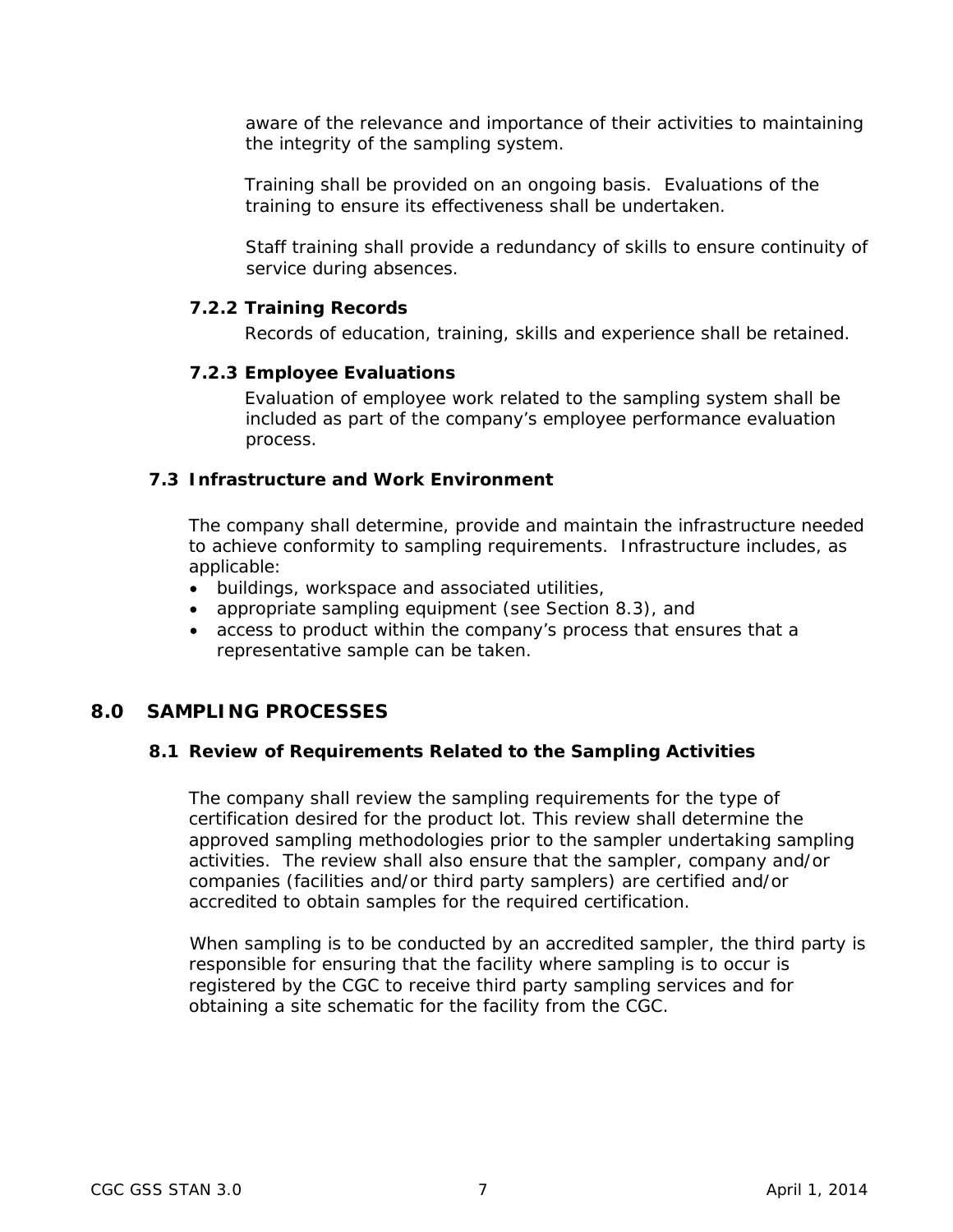aware of the relevance and importance of their activities to maintaining the integrity of the sampling system.

Training shall be provided on an ongoing basis. Evaluations of the training to ensure its effectiveness shall be undertaken.

Staff training shall provide a redundancy of skills to ensure continuity of service during absences.

#### <span id="page-12-0"></span>**7.2.2 Training Records**

Records of education, training, skills and experience shall be retained.

#### <span id="page-12-1"></span>**7.2.3 Employee Evaluations**

Evaluation of employee work related to the sampling system shall be included as part of the company's employee performance evaluation process.

## <span id="page-12-2"></span>**7.3 Infrastructure and Work Environment**

The company shall determine, provide and maintain the infrastructure needed to achieve conformity to sampling requirements. Infrastructure includes, as applicable:

- buildings, workspace and associated utilities,
- appropriate sampling equipment (see Section 8.3), and
- access to product within the company's process that ensures that a representative sample can be taken.

# <span id="page-12-4"></span><span id="page-12-3"></span>**8.0 SAMPLING PROCESSES**

#### **8.1 Review of Requirements Related to the Sampling Activities**

The company shall review the sampling requirements for the type of certification desired for the product lot. This review shall determine the approved sampling methodologies prior to the sampler undertaking sampling activities. The review shall also ensure that the sampler, company and/or companies (facilities and/or third party samplers) are certified and/or accredited to obtain samples for the required certification.

When sampling is to be conducted by an accredited sampler, the third party is responsible for ensuring that the facility where sampling is to occur is registered by the CGC to receive third party sampling services and for obtaining a site schematic for the facility from the CGC.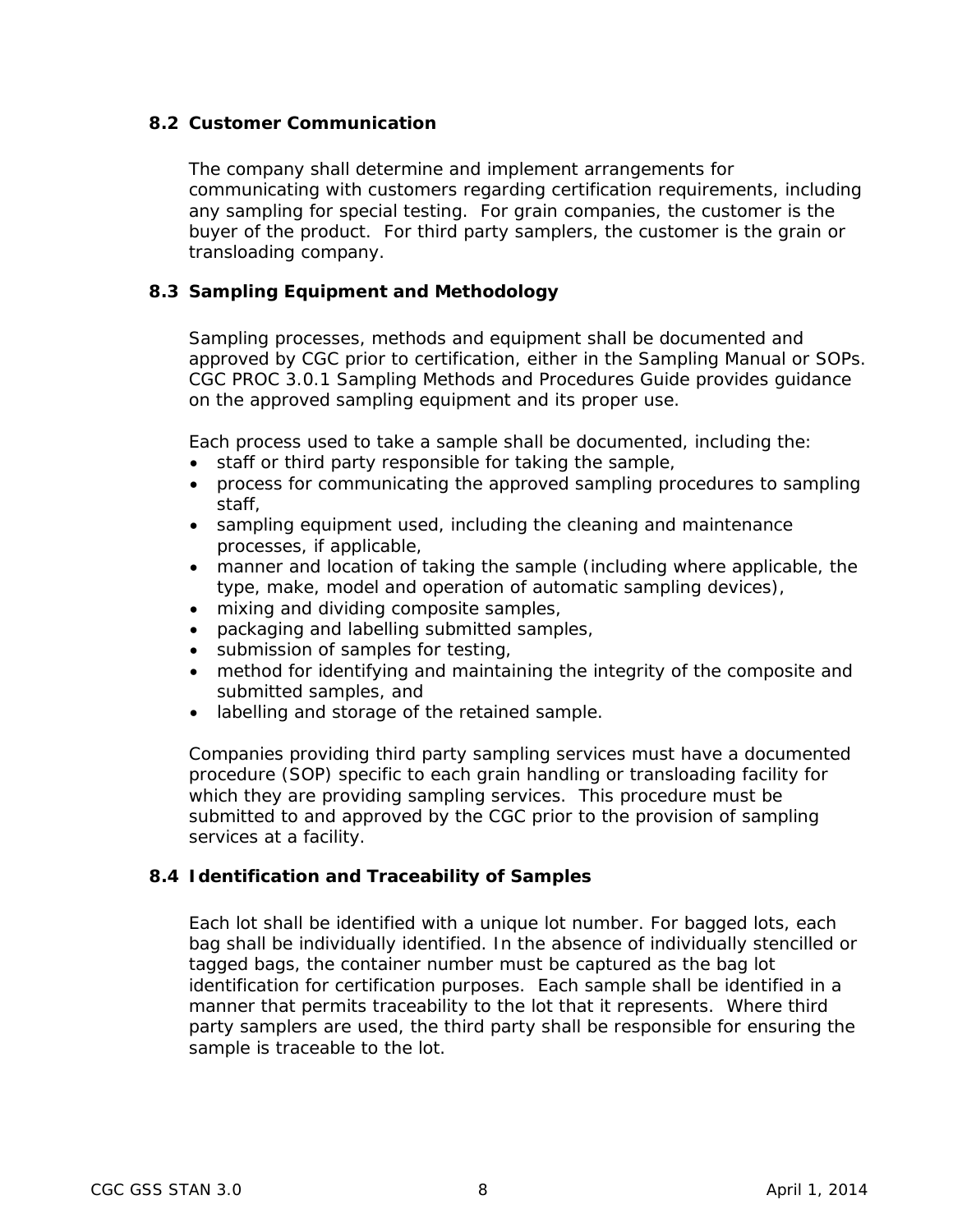## <span id="page-13-0"></span>**8.2 Customer Communication**

The company shall determine and implement arrangements for communicating with customers regarding certification requirements, including any sampling for special testing. For grain companies, the customer is the buyer of the product. For third party samplers, the customer is the grain or transloading company.

## <span id="page-13-1"></span>**8.3 Sampling Equipment and Methodology**

Sampling processes, methods and equipment shall be documented and approved by CGC prior to certification, either in the Sampling Manual or SOPs. CGC PROC 3.0.1 *Sampling Methods and Procedures Guide* provides guidance on the approved sampling equipment and its proper use.

Each process used to take a sample shall be documented, including the:

- staff or third party responsible for taking the sample,
- process for communicating the approved sampling procedures to sampling staff,
- sampling equipment used, including the cleaning and maintenance processes, if applicable,
- manner and location of taking the sample (including where applicable, the type, make, model and operation of automatic sampling devices),
- mixing and dividing composite samples,
- packaging and labelling submitted samples,
- submission of samples for testing,
- method for identifying and maintaining the integrity of the composite and submitted samples, and
- labelling and storage of the retained sample.

Companies providing third party sampling services must have a documented procedure (SOP) specific to each grain handling or transloading facility for which they are providing sampling services. This procedure must be submitted to and approved by the CGC prior to the provision of sampling services at a facility.

#### <span id="page-13-2"></span>**8.4 Identification and Traceability of Samples**

Each lot shall be identified with a unique lot number. For bagged lots, each bag shall be individually identified. In the absence of individually stencilled or tagged bags, the container number must be captured as the bag lot identification for certification purposes. Each sample shall be identified in a manner that permits traceability to the lot that it represents. Where third party samplers are used, the third party shall be responsible for ensuring the sample is traceable to the lot.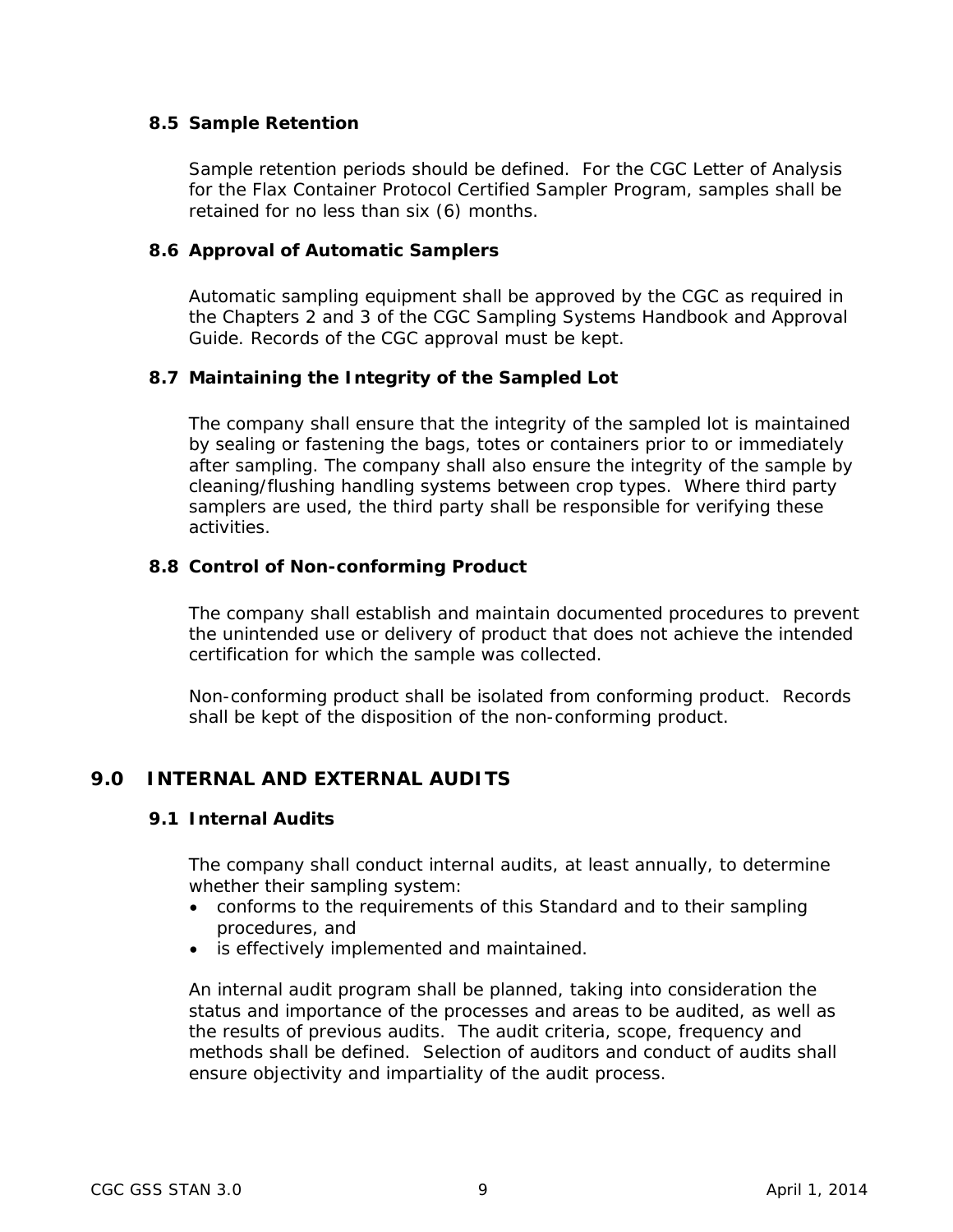## <span id="page-14-0"></span>**8.5 Sample Retention**

Sample retention periods should be defined. For the CGC Letter of Analysis for the Flax Container Protocol Certified Sampler Program, samples shall be retained for no less than six (6) months.

## <span id="page-14-1"></span>**8.6 Approval of Automatic Samplers**

Automatic sampling equipment shall be approved by the CGC as required in the Chapters 2 and 3 of the CGC *Sampling Systems Handbook and Approval Guide*. Records of the CGC approval must be kept.

# <span id="page-14-2"></span>**8.7 Maintaining the Integrity of the Sampled Lot**

The company shall ensure that the integrity of the sampled lot is maintained by sealing or fastening the bags, totes or containers prior to or immediately after sampling. The company shall also ensure the integrity of the sample by cleaning/flushing handling systems between crop types. Where third party samplers are used, the third party shall be responsible for verifying these activities.

#### <span id="page-14-3"></span>**8.8 Control of Non-conforming Product**

The company shall establish and maintain documented procedures to prevent the unintended use or delivery of product that does not achieve the intended certification for which the sample was collected.

Non-conforming product shall be isolated from conforming product. Records shall be kept of the disposition of the non-conforming product.

# <span id="page-14-5"></span><span id="page-14-4"></span>**9.0 INTERNAL AND EXTERNAL AUDITS**

#### **9.1 Internal Audits**

The company shall conduct internal audits, at least annually, to determine whether their sampling system:

- conforms to the requirements of this Standard and to their sampling procedures, and
- is effectively implemented and maintained.

An internal audit program shall be planned, taking into consideration the status and importance of the processes and areas to be audited, as well as the results of previous audits. The audit criteria, scope, frequency and methods shall be defined. Selection of auditors and conduct of audits shall ensure objectivity and impartiality of the audit process.